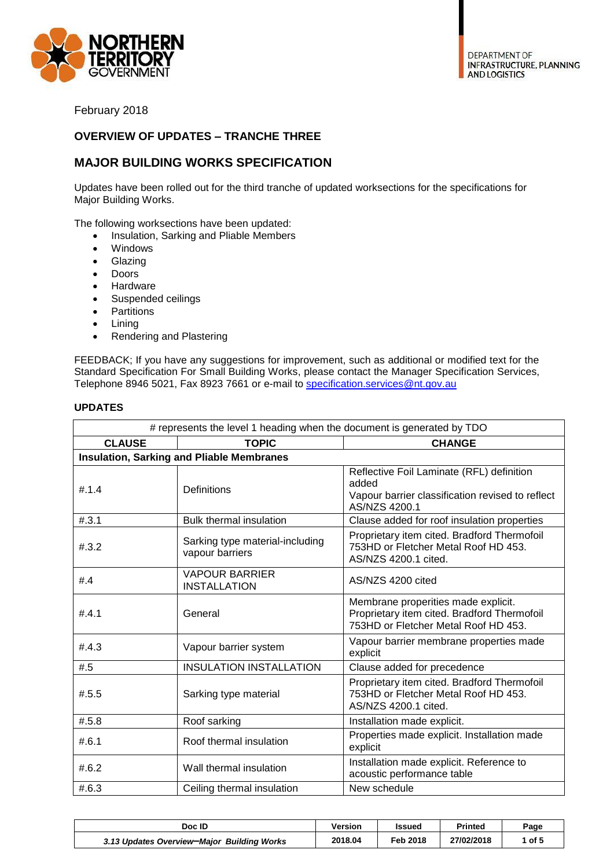

February 2018

## **OVERVIEW OF UPDATES – TRANCHE THREE**

## **MAJOR BUILDING WORKS SPECIFICATION**

Updates have been rolled out for the third tranche of updated worksections for the specifications for Major Building Works.

The following worksections have been updated:

- Insulation, Sarking and Pliable Members
- Windows
- Glazing
- Doors
- Hardware
- Suspended ceilings
- Partitions
- Lining
- Rendering and Plastering

FEEDBACK; If you have any suggestions for improvement, such as additional or modified text for the Standard Specification For Small Building Works, please contact the Manager Specification Services, Telephone 8946 5021, Fax 8923 7661 or e-mail to [specification.services@nt.gov.au](mailto:specification.services@nt.gov.au)

| # represents the level 1 heading when the document is generated by TDO |                                                    |                                                                                                                            |  |  |  |
|------------------------------------------------------------------------|----------------------------------------------------|----------------------------------------------------------------------------------------------------------------------------|--|--|--|
| <b>CLAUSE</b>                                                          | <b>TOPIC</b>                                       | <b>CHANGE</b>                                                                                                              |  |  |  |
|                                                                        | <b>Insulation, Sarking and Pliable Membranes</b>   |                                                                                                                            |  |  |  |
| #.1.4                                                                  | <b>Definitions</b>                                 | Reflective Foil Laminate (RFL) definition<br>added<br>Vapour barrier classification revised to reflect<br>AS/NZS 4200.1    |  |  |  |
| #.3.1                                                                  | <b>Bulk thermal insulation</b>                     | Clause added for roof insulation properties                                                                                |  |  |  |
| #.3.2                                                                  | Sarking type material-including<br>vapour barriers | Proprietary item cited. Bradford Thermofoil<br>753HD or Fletcher Metal Roof HD 453.<br>AS/NZS 4200.1 cited.                |  |  |  |
| #4.4                                                                   | <b>VAPOUR BARRIER</b><br><b>INSTALLATION</b>       | AS/NZS 4200 cited                                                                                                          |  |  |  |
| #.4.1                                                                  | General                                            | Membrane properities made explicit.<br>Proprietary item cited. Bradford Thermofoil<br>753HD or Fletcher Metal Roof HD 453. |  |  |  |
| #.4.3                                                                  | Vapour barrier system                              | Vapour barrier membrane properties made<br>explicit                                                                        |  |  |  |
| #.5                                                                    | <b>INSULATION INSTALLATION</b>                     | Clause added for precedence                                                                                                |  |  |  |
| #.5.5                                                                  | Sarking type material                              | Proprietary item cited. Bradford Thermofoil<br>753HD or Fletcher Metal Roof HD 453.<br>AS/NZS 4200.1 cited.                |  |  |  |
| #.5.8                                                                  | Roof sarking                                       | Installation made explicit.                                                                                                |  |  |  |
| #.6.1                                                                  | Roof thermal insulation                            | Properties made explicit. Installation made<br>explicit                                                                    |  |  |  |
| #.6.2                                                                  | Wall thermal insulation                            | Installation made explicit. Reference to<br>acoustic performance table                                                     |  |  |  |
| #.6.3                                                                  | Ceiling thermal insulation                         | New schedule                                                                                                               |  |  |  |

## **UPDATES**

| Doc ID                                     | Version | Issued   | Printed    | Page   |
|--------------------------------------------|---------|----------|------------|--------|
| 3.13 Updates Overview-Major Building Works | 2018.04 | Feb 2018 | 27/02/2018 | , of 『 |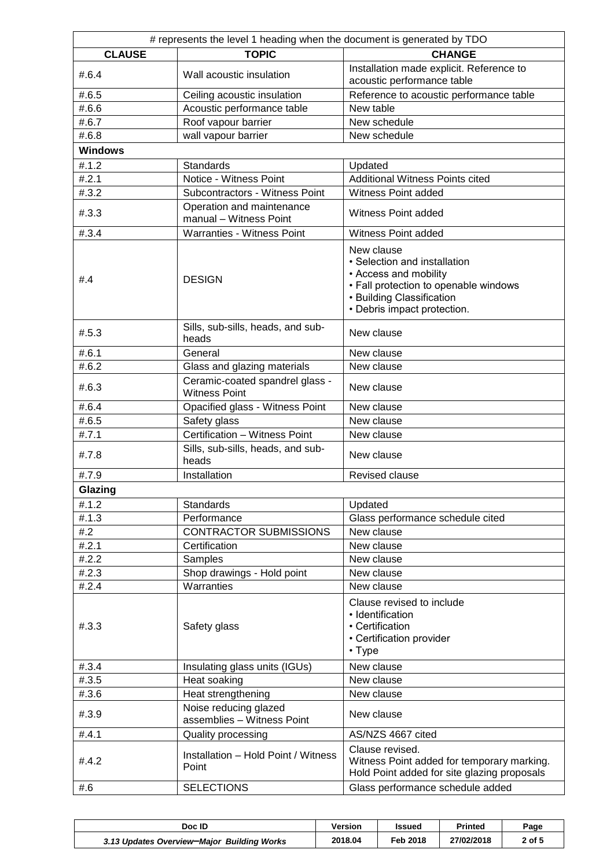| # represents the level 1 heading when the document is generated by TDO |                                                         |                                                                                                                                                                          |  |  |
|------------------------------------------------------------------------|---------------------------------------------------------|--------------------------------------------------------------------------------------------------------------------------------------------------------------------------|--|--|
| <b>CLAUSE</b>                                                          | <b>TOPIC</b>                                            | <b>CHANGE</b>                                                                                                                                                            |  |  |
| #.6.4                                                                  | Wall acoustic insulation                                | Installation made explicit. Reference to<br>acoustic performance table                                                                                                   |  |  |
| #.6.5                                                                  | Ceiling acoustic insulation                             | Reference to acoustic performance table                                                                                                                                  |  |  |
| #.6.6                                                                  | Acoustic performance table                              | New table                                                                                                                                                                |  |  |
| #.6.7                                                                  | Roof vapour barrier                                     | New schedule                                                                                                                                                             |  |  |
| #.6.8                                                                  | wall vapour barrier                                     | New schedule                                                                                                                                                             |  |  |
| <b>Windows</b>                                                         |                                                         |                                                                                                                                                                          |  |  |
| #.1.2                                                                  | <b>Standards</b>                                        | Updated                                                                                                                                                                  |  |  |
| #.2.1                                                                  | Notice - Witness Point                                  | <b>Additional Witness Points cited</b>                                                                                                                                   |  |  |
| #.3.2                                                                  | Subcontractors - Witness Point                          | Witness Point added                                                                                                                                                      |  |  |
| #.3.3                                                                  | Operation and maintenance<br>manual - Witness Point     | Witness Point added                                                                                                                                                      |  |  |
| #.3.4                                                                  | Warranties - Witness Point                              | Witness Point added                                                                                                                                                      |  |  |
| #4.4                                                                   | <b>DESIGN</b>                                           | New clause<br>• Selection and installation<br>• Access and mobility<br>• Fall protection to openable windows<br>• Building Classification<br>• Debris impact protection. |  |  |
| #.5.3                                                                  | Sills, sub-sills, heads, and sub-<br>heads              | New clause                                                                                                                                                               |  |  |
| #.6.1                                                                  | General                                                 | New clause                                                                                                                                                               |  |  |
| #.6.2                                                                  | Glass and glazing materials                             | New clause                                                                                                                                                               |  |  |
| #.6.3                                                                  | Ceramic-coated spandrel glass -<br><b>Witness Point</b> | New clause                                                                                                                                                               |  |  |
| #.6.4                                                                  | Opacified glass - Witness Point                         | New clause                                                                                                                                                               |  |  |
| #.6.5                                                                  | Safety glass                                            | New clause                                                                                                                                                               |  |  |
| #.7.1                                                                  | Certification - Witness Point                           | New clause                                                                                                                                                               |  |  |
| #.7.8                                                                  | Sills, sub-sills, heads, and sub-<br>heads              | New clause                                                                                                                                                               |  |  |
| #.7.9                                                                  | Installation                                            | <b>Revised clause</b>                                                                                                                                                    |  |  |
| Glazing                                                                |                                                         |                                                                                                                                                                          |  |  |
| #.1.2                                                                  | Standards                                               | Updated                                                                                                                                                                  |  |  |
| #.1.3                                                                  | Performance                                             | Glass performance schedule cited                                                                                                                                         |  |  |
| #2                                                                     | <b>CONTRACTOR SUBMISSIONS</b>                           | New clause                                                                                                                                                               |  |  |
| #.2.1                                                                  | Certification                                           | New clause                                                                                                                                                               |  |  |
| #.2.2                                                                  | Samples                                                 | New clause                                                                                                                                                               |  |  |
| #.2.3                                                                  | Shop drawings - Hold point                              | New clause                                                                                                                                                               |  |  |
| #.2.4                                                                  | Warranties                                              | New clause                                                                                                                                                               |  |  |
| #.3.3                                                                  | Safety glass                                            | Clause revised to include<br>• Identification<br>• Certification<br>• Certification provider<br>$\cdot$ Type                                                             |  |  |
| #.3.4                                                                  | Insulating glass units (IGUs)                           | New clause                                                                                                                                                               |  |  |
| #.3.5                                                                  | Heat soaking                                            | New clause                                                                                                                                                               |  |  |
| #.3.6                                                                  | Heat strengthening                                      | New clause                                                                                                                                                               |  |  |
| #.3.9                                                                  | Noise reducing glazed<br>assemblies - Witness Point     | New clause                                                                                                                                                               |  |  |
| #.4.1                                                                  | Quality processing                                      | AS/NZS 4667 cited                                                                                                                                                        |  |  |
| #.4.2                                                                  | Installation - Hold Point / Witness<br>Point            | Clause revised.<br>Witness Point added for temporary marking.<br>Hold Point added for site glazing proposals                                                             |  |  |
| #.6                                                                    | <b>SELECTIONS</b>                                       | Glass performance schedule added                                                                                                                                         |  |  |

| Doc ID                                     | Version | Issued   | Printed    | Page   |
|--------------------------------------------|---------|----------|------------|--------|
| 3.13 Updates Overview-Major Building Works | 2018.04 | Feb 2018 | 27/02/2018 | 2 of 5 |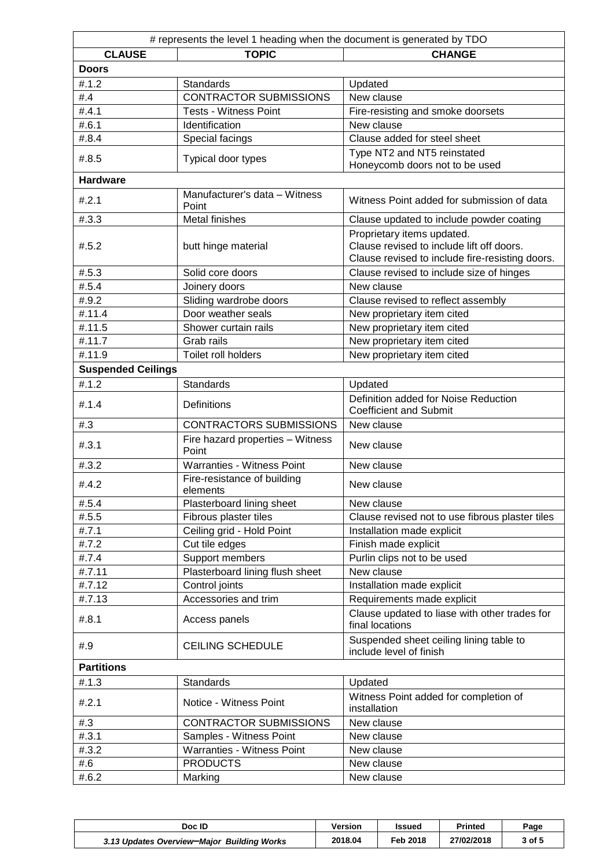| # represents the level 1 heading when the document is generated by TDO |                                           |                                                                                                                            |  |  |
|------------------------------------------------------------------------|-------------------------------------------|----------------------------------------------------------------------------------------------------------------------------|--|--|
| <b>CLAUSE</b>                                                          | <b>TOPIC</b>                              | <b>CHANGE</b>                                                                                                              |  |  |
| <b>Doors</b>                                                           |                                           |                                                                                                                            |  |  |
| #.1.2                                                                  | <b>Standards</b>                          | Updated                                                                                                                    |  |  |
| #.4                                                                    | <b>CONTRACTOR SUBMISSIONS</b>             | New clause                                                                                                                 |  |  |
| #.4.1                                                                  | <b>Tests - Witness Point</b>              | Fire-resisting and smoke doorsets                                                                                          |  |  |
| #.6.1                                                                  | Identification                            | New clause                                                                                                                 |  |  |
| #.8.4                                                                  | Special facings                           | Clause added for steel sheet                                                                                               |  |  |
| #.8.5                                                                  | Typical door types                        | Type NT2 and NT5 reinstated                                                                                                |  |  |
|                                                                        |                                           | Honeycomb doors not to be used                                                                                             |  |  |
| <b>Hardware</b>                                                        |                                           |                                                                                                                            |  |  |
| #.2.1                                                                  | Manufacturer's data - Witness<br>Point    | Witness Point added for submission of data                                                                                 |  |  |
| #.3.3                                                                  | <b>Metal finishes</b>                     | Clause updated to include powder coating                                                                                   |  |  |
| #.5.2                                                                  | butt hinge material                       | Proprietary items updated.<br>Clause revised to include lift off doors.<br>Clause revised to include fire-resisting doors. |  |  |
| #.5.3                                                                  | Solid core doors                          | Clause revised to include size of hinges                                                                                   |  |  |
| #.5.4                                                                  | Joinery doors                             | New clause                                                                                                                 |  |  |
| #.9.2                                                                  | Sliding wardrobe doors                    | Clause revised to reflect assembly                                                                                         |  |  |
| #.11.4                                                                 | Door weather seals                        | New proprietary item cited                                                                                                 |  |  |
| #.11.5                                                                 | Shower curtain rails                      | New proprietary item cited                                                                                                 |  |  |
| #.11.7                                                                 | Grab rails                                | New proprietary item cited                                                                                                 |  |  |
| #.11.9                                                                 | Toilet roll holders                       | New proprietary item cited                                                                                                 |  |  |
| <b>Suspended Ceilings</b>                                              |                                           |                                                                                                                            |  |  |
| #.1.2                                                                  | <b>Standards</b>                          | Updated                                                                                                                    |  |  |
| #.1.4                                                                  | Definitions                               | Definition added for Noise Reduction<br><b>Coefficient and Submit</b>                                                      |  |  |
| #3                                                                     | <b>CONTRACTORS SUBMISSIONS</b>            | New clause                                                                                                                 |  |  |
| #.3.1                                                                  | Fire hazard properties - Witness<br>Point | New clause                                                                                                                 |  |  |
| #.3.2                                                                  | Warranties - Witness Point                | New clause                                                                                                                 |  |  |
| #.4.2                                                                  | Fire-resistance of building<br>elements   | New clause                                                                                                                 |  |  |
| #.5.4                                                                  | Plasterboard lining sheet                 | New clause                                                                                                                 |  |  |
| #.5.5                                                                  | Fibrous plaster tiles                     | Clause revised not to use fibrous plaster tiles                                                                            |  |  |
| #.7.1                                                                  | Ceiling grid - Hold Point                 | Installation made explicit                                                                                                 |  |  |
| #.7.2                                                                  | Cut tile edges                            | Finish made explicit                                                                                                       |  |  |
| #.7.4                                                                  | Support members                           | Purlin clips not to be used                                                                                                |  |  |
| #.7.11                                                                 | Plasterboard lining flush sheet           | New clause                                                                                                                 |  |  |
| #.7.12                                                                 | Control joints                            | Installation made explicit                                                                                                 |  |  |
| #.7.13                                                                 | Accessories and trim                      | Requirements made explicit                                                                                                 |  |  |
| #.8.1                                                                  | Access panels                             | Clause updated to liase with other trades for<br>final locations                                                           |  |  |
| #.9                                                                    | <b>CEILING SCHEDULE</b>                   | Suspended sheet ceiling lining table to<br>include level of finish                                                         |  |  |
| <b>Partitions</b>                                                      |                                           |                                                                                                                            |  |  |
| #.1.3                                                                  | <b>Standards</b>                          | Updated                                                                                                                    |  |  |
| #.2.1                                                                  | Notice - Witness Point                    | Witness Point added for completion of<br>installation                                                                      |  |  |
| #3                                                                     | <b>CONTRACTOR SUBMISSIONS</b>             | New clause                                                                                                                 |  |  |
| #.3.1                                                                  | Samples - Witness Point                   | New clause                                                                                                                 |  |  |
| #.3.2                                                                  | <b>Warranties - Witness Point</b>         | New clause                                                                                                                 |  |  |
| #.6                                                                    | <b>PRODUCTS</b>                           | New clause                                                                                                                 |  |  |
| #.6.2                                                                  | Marking                                   | New clause                                                                                                                 |  |  |
|                                                                        |                                           |                                                                                                                            |  |  |

| Doc ID                                     | Version | <b>Issued</b> | Printed    | Page   |
|--------------------------------------------|---------|---------------|------------|--------|
| 3.13 Updates Overview-Major Building Works | 2018.04 | Feb 2018      | 27/02/2018 | 3 of 5 |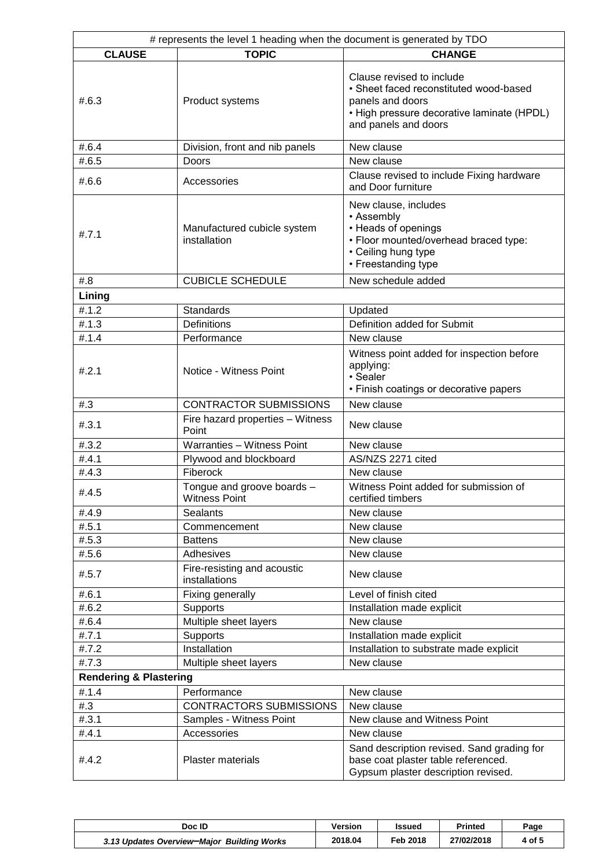| # represents the level 1 heading when the document is generated by TDO |                                                           |                                                                                                                                                               |  |  |
|------------------------------------------------------------------------|-----------------------------------------------------------|---------------------------------------------------------------------------------------------------------------------------------------------------------------|--|--|
| <b>CLAUSE</b>                                                          | <b>TOPIC</b>                                              | <b>CHANGE</b>                                                                                                                                                 |  |  |
| #.6.3                                                                  | Product systems                                           | Clause revised to include<br>• Sheet faced reconstituted wood-based<br>panels and doors<br>• High pressure decorative laminate (HPDL)<br>and panels and doors |  |  |
| #.6.4                                                                  | Division, front and nib panels                            | New clause                                                                                                                                                    |  |  |
| #.6.5                                                                  | Doors                                                     | New clause                                                                                                                                                    |  |  |
| #.6.6                                                                  | Accessories                                               | Clause revised to include Fixing hardware<br>and Door furniture                                                                                               |  |  |
| #.7.1                                                                  | Manufactured cubicle system<br>installation               | New clause, includes<br>• Assembly<br>• Heads of openings<br>. Floor mounted/overhead braced type:<br>• Ceiling hung type<br>• Freestanding type              |  |  |
| #.8                                                                    | <b>CUBICLE SCHEDULE</b>                                   | New schedule added                                                                                                                                            |  |  |
| Lining                                                                 |                                                           |                                                                                                                                                               |  |  |
| #.1.2                                                                  | <b>Standards</b>                                          | Updated                                                                                                                                                       |  |  |
| #.1.3                                                                  | <b>Definitions</b>                                        | Definition added for Submit                                                                                                                                   |  |  |
| #.1.4                                                                  | Performance                                               | New clause                                                                                                                                                    |  |  |
| #.2.1                                                                  | Notice - Witness Point                                    | Witness point added for inspection before<br>applying:<br>• Sealer<br>• Finish coatings or decorative papers                                                  |  |  |
| #3                                                                     | <b>CONTRACTOR SUBMISSIONS</b>                             | New clause                                                                                                                                                    |  |  |
| #.3.1                                                                  | Fire hazard properties - Witness<br>Point                 | New clause                                                                                                                                                    |  |  |
| #.3.2                                                                  | Warranties - Witness Point                                | New clause                                                                                                                                                    |  |  |
| #.4.1                                                                  | Plywood and blockboard                                    | AS/NZS 2271 cited                                                                                                                                             |  |  |
| #.4.3                                                                  | Fiberock                                                  | New clause                                                                                                                                                    |  |  |
| #.4.5                                                                  | Tongue and groove boards -<br><b>Witness Point</b>        | Witness Point added for submission of<br>certified timbers                                                                                                    |  |  |
| #.4.9                                                                  | <b>Sealants</b>                                           | New clause                                                                                                                                                    |  |  |
| #.5.1                                                                  | Commencement                                              | New clause                                                                                                                                                    |  |  |
| #.5.3                                                                  | <b>Battens</b>                                            | New clause                                                                                                                                                    |  |  |
| #.5.6                                                                  | Adhesives                                                 | New clause                                                                                                                                                    |  |  |
| #.5.7                                                                  | Fire-resisting and acoustic<br>installations              | New clause                                                                                                                                                    |  |  |
| #.6.1                                                                  | Fixing generally                                          | Level of finish cited                                                                                                                                         |  |  |
| #.6.2                                                                  | Supports                                                  | Installation made explicit                                                                                                                                    |  |  |
| #.6.4                                                                  | Multiple sheet layers                                     | New clause                                                                                                                                                    |  |  |
| #.7.1                                                                  | Supports                                                  | Installation made explicit                                                                                                                                    |  |  |
| #.7.2                                                                  | Installation                                              | Installation to substrate made explicit                                                                                                                       |  |  |
| #.7.3                                                                  | Multiple sheet layers                                     | New clause                                                                                                                                                    |  |  |
| <b>Rendering &amp; Plastering</b>                                      |                                                           |                                                                                                                                                               |  |  |
| #.1.4                                                                  | Performance                                               | New clause                                                                                                                                                    |  |  |
| #3<br>#.3.1                                                            | <b>CONTRACTORS SUBMISSIONS</b><br>Samples - Witness Point | New clause<br>New clause and Witness Point                                                                                                                    |  |  |
| #.4.1                                                                  | Accessories                                               | New clause                                                                                                                                                    |  |  |
| #.4.2                                                                  | <b>Plaster materials</b>                                  | Sand description revised. Sand grading for<br>base coat plaster table referenced.<br>Gypsum plaster description revised.                                      |  |  |

| Doc ID                                     | <b>Versior</b> | Issued   | Printed    | Page   |
|--------------------------------------------|----------------|----------|------------|--------|
| 3.13 Updates Overview-Major Building Works | 2018.04        | Feb 2018 | 27/02/2018 | 4 of 5 |